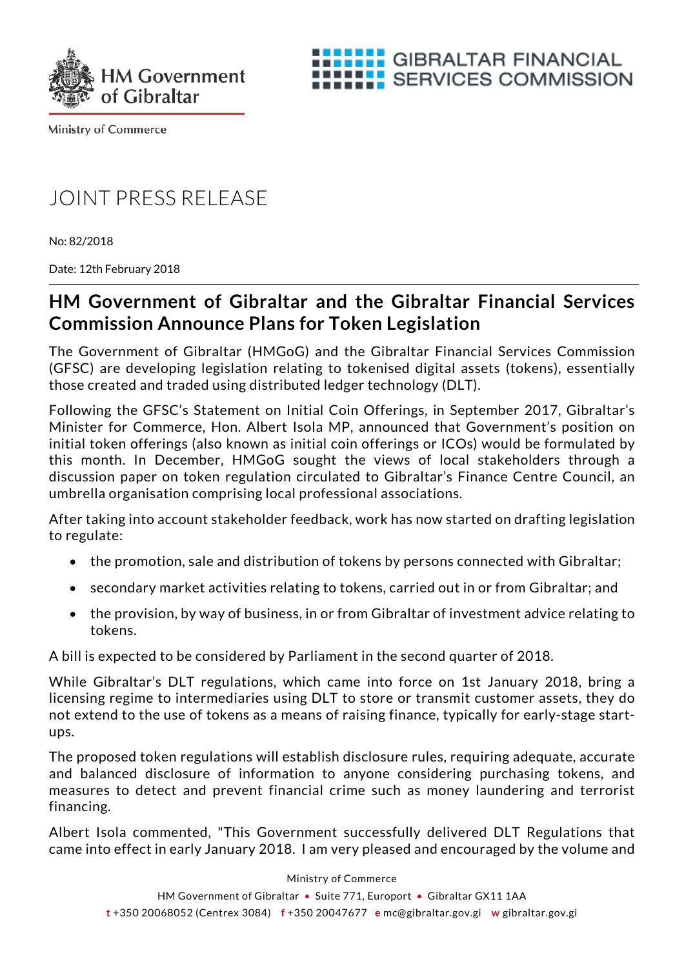



**Ministry of Commerce** 

## JOINT PRESS RELEASE

No: 82/2018

Date: 12th February 2018

## **HM Government of Gibraltar and the Gibraltar Financial Services Commission Announce Plans for Token Legislation**

The Government of Gibraltar (HMGoG) and the Gibraltar Financial Services Commission (GFSC) are developing legislation relating to tokenised digital assets (tokens), essentially those created and traded using distributed ledger technology (DLT).

Following the GFSC's Statement on Initial Coin Offerings, in September 2017, Gibraltar's Minister for Commerce, Hon. Albert Isola MP, announced that Government's position on initial token offerings (also known as initial coin offerings or ICOs) would be formulated by this month. In December, HMGoG sought the views of local stakeholders through a discussion paper on token regulation circulated to Gibraltar's Finance Centre Council, an umbrella organisation comprising local professional associations.

After taking into account stakeholder feedback, work has now started on drafting legislation to regulate:

- the promotion, sale and distribution of tokens by persons connected with Gibraltar;
- secondary market activities relating to tokens, carried out in or from Gibraltar; and
- the provision, by way of business, in or from Gibraltar of investment advice relating to tokens.

A bill is expected to be considered by Parliament in the second quarter of 2018.

While Gibraltar's DLT regulations, which came into force on 1st January 2018, bring a licensing regime to intermediaries using DLT to store or transmit customer assets, they do not extend to the use of tokens as a means of raising finance, typically for early-stage startups.

The proposed token regulations will establish disclosure rules, requiring adequate, accurate and balanced disclosure of information to anyone considering purchasing tokens, and measures to detect and prevent financial crime such as money laundering and terrorist financing.

Albert Isola commented, "This Government successfully delivered DLT Regulations that came into effect in early January 2018. I am very pleased and encouraged by the volume and

Ministry of Commerce